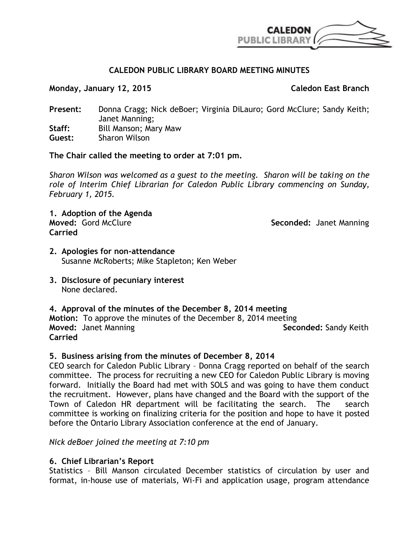

# **CALEDON PUBLIC LIBRARY BOARD MEETING MINUTES**

**Monday, January 12, 2015 Caledon East Branch**

**Present:** Donna Cragg; Nick deBoer; Virginia DiLauro; Gord McClure; Sandy Keith; Janet Manning; **Staff:** Bill Manson; Mary Maw **Guest:** Sharon Wilson

## **The Chair called the meeting to order at 7:01 pm.**

*Sharon Wilson was welcomed as a guest to the meeting. Sharon will be taking on the role of Interim Chief Librarian for Caledon Public Library commencing on Sunday, February 1, 2015.*

**1. Adoption of the Agenda Carried**

**Seconded: Janet Manning** 

- **2. Apologies for non-attendance** Susanne McRoberts; Mike Stapleton; Ken Weber
- **3. Disclosure of pecuniary interest** None declared.

## **4. Approval of the minutes of the December 8, 2014 meeting**

**Motion:** To approve the minutes of the December 8, 2014 meeting **Moved:** Janet Manning **Seconded:** Sandy Keith **Carried**

## **5. Business arising from the minutes of December 8, 2014**

CEO search for Caledon Public Library – Donna Cragg reported on behalf of the search committee. The process for recruiting a new CEO for Caledon Public Library is moving forward. Initially the Board had met with SOLS and was going to have them conduct the recruitment. However, plans have changed and the Board with the support of the Town of Caledon HR department will be facilitating the search. The search committee is working on finalizing criteria for the position and hope to have it posted before the Ontario Library Association conference at the end of January.

*Nick deBoer joined the meeting at 7:10 pm*

## **6. Chief Librarian's Report**

Statistics – Bill Manson circulated December statistics of circulation by user and format, in-house use of materials, Wi-Fi and application usage, program attendance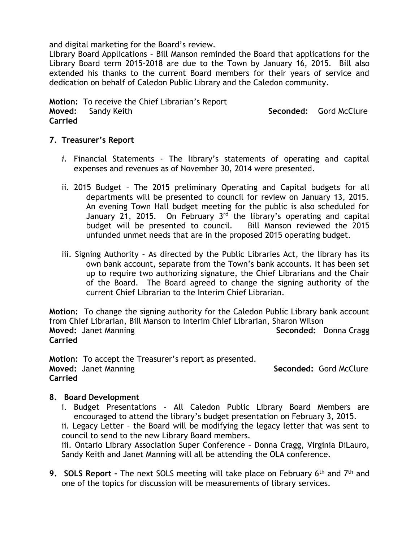and digital marketing for the Board's review.

Library Board Applications – Bill Manson reminded the Board that applications for the Library Board term 2015-2018 are due to the Town by January 16, 2015. Bill also extended his thanks to the current Board members for their years of service and dedication on behalf of Caledon Public Library and the Caledon community.

**Motion:** To receive the Chief Librarian's Report **Moved:** Sandy Keith Superinten Seconded: Gord McClure Seconded: Gord McClure **Carried**

## **7. Treasurer's Report**

- *i.* Financial Statements The library's statements of operating and capital expenses and revenues as of November 30, 2014 were presented.
- ii. 2015 Budget The 2015 preliminary Operating and Capital budgets for all departments will be presented to council for review on January 13, 2015. An evening Town Hall budget meeting for the public is also scheduled for January 21, 2015. On February  $3<sup>rd</sup>$  the library's operating and capital budget will be presented to council. Bill Manson reviewed the 2015 unfunded unmet needs that are in the proposed 2015 operating budget.
- iii. Signing Authority As directed by the Public Libraries Act, the library has its own bank account, separate from the Town's bank accounts. It has been set up to require two authorizing signature, the Chief Librarians and the Chair of the Board. The Board agreed to change the signing authority of the current Chief Librarian to the Interim Chief Librarian.

**Motion:** To change the signing authority for the Caledon Public Library bank account from Chief Librarian, Bill Manson to Interim Chief Librarian, Sharon Wilson **Moved:** Janet Manning **Seconded:** Donna Cragg **Carried**

**Motion:** To accept the Treasurer's report as presented. **Moved:** Janet Manning **Seconded:** Gord McClure **Carried**

## **8. Board Development**

i. Budget Presentations - All Caledon Public Library Board Members are encouraged to attend the library's budget presentation on February 3, 2015.

ii. Legacy Letter – the Board will be modifying the legacy letter that was sent to council to send to the new Library Board members.

iii. Ontario Library Association Super Conference – Donna Cragg, Virginia DiLauro, Sandy Keith and Janet Manning will all be attending the OLA conference.

**9. SOLS Report** - The next SOLS meeting will take place on February 6<sup>th</sup> and 7<sup>th</sup> and one of the topics for discussion will be measurements of library services.